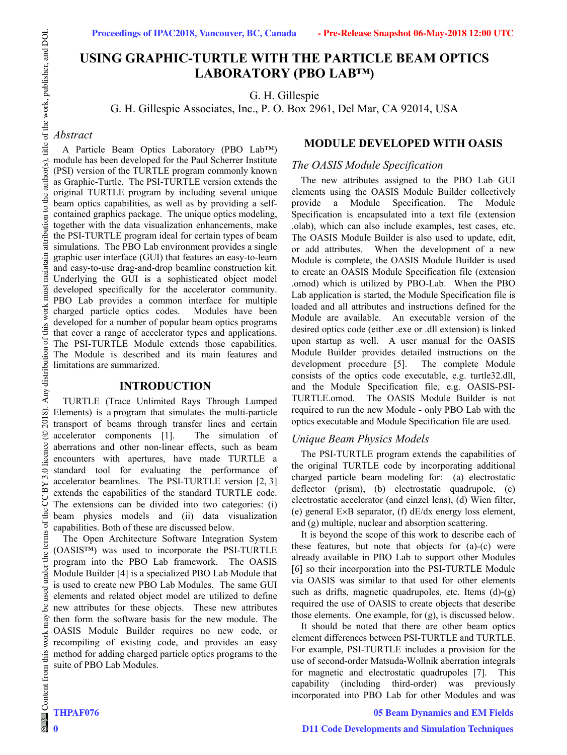# **USING GRAPHIC-TURTLE WITH THE PARTICLE BEAM OPTICS LABORATORY (PBO LAB™)**

G. H. Gillespie

G. H. Gillespie Associates, Inc., P. O. Box 2961, Del Mar, CA 92014, USA

# *Abstract*

A Particle Beam Optics Laboratory (PBO Lab™) module has been developed for the Paul Scherrer Institute (PSI) version of the TURTLE program commonly known as Graphic-Turtle. The PSI-TURTLE version extends the original TURTLE program by including several unique beam optics capabilities, as well as by providing a selfcontained graphics package. The unique optics modeling, together with the data visualization enhancements, make the PSI-TURTLE program ideal for certain types of beam simulations. The PBO Lab environment provides a single graphic user interface (GUI) that features an easy-to-learn and easy-to-use drag-and-drop beamline construction kit. Underlying the GUI is a sophisticated object model developed specifically for the accelerator community. PBO Lab provides a common interface for multiple charged particle optics codes. Modules have been developed for a number of popular beam optics programs that cover a range of accelerator types and applications. The PSI-TURTLE Module extends those capabilities. The Module is described and its main features and limitations are summarized.

### **INTRODUCTION**

TURTLE (Trace Unlimited Rays Through Lumped Elements) is a program that simulates the multi-particle transport of beams through transfer lines and certain accelerator components [1]. The simulation of aberrations and other non-linear effects, such as beam encounters with apertures, have made TURTLE a standard tool for evaluating the performance of accelerator beamlines. The PSI-TURTLE version [2, 3] extends the capabilities of the standard TURTLE code. The extensions can be divided into two categories: (i) beam physics models and (ii) data visualization capabilities. Both of these are discussed below.

The Open Architecture Software Integration System (OASIS™) was used to incorporate the PSI-TURTLE program into the PBO Lab framework. The OASIS Module Builder [4] is a specialized PBO Lab Module that is used to create new PBO Lab Modules. The same GUI elements and related object model are utilized to define new attributes for these objects. These new attributes then form the software basis for the new module. The OASIS Module Builder requires no new code, or recompiling of existing code, and provides an easy method for adding charged particle optics programs to the suite of PBO Lab Modules.

### **MODULE DEVELOPED WITH OASIS**

### *The OASIS Module Specification*

The new attributes assigned to the PBO Lab GUI elements using the OASIS Module Builder collectively provide a Module Specification. The Module Specification is encapsulated into a text file (extension .olab), which can also include examples, test cases, etc. The OASIS Module Builder is also used to update, edit, or add attributes. When the development of a new Module is complete, the OASIS Module Builder is used to create an OASIS Module Specification file (extension .omod) which is utilized by PBO-Lab. When the PBO Lab application is started, the Module Specification file is loaded and all attributes and instructions defined for the Module are available. An executable version of the desired optics code (either .exe or .dll extension) is linked upon startup as well. A user manual for the OASIS Module Builder provides detailed instructions on the development procedure [5]. The complete Module consists of the optics code executable, e.g. turtle32.dll, and the Module Specification file, e.g. OASIS-PSI-TURTLE.omod. The OASIS Module Builder is not required to run the new Module - only PBO Lab with the optics executable and Module Specification file are used.

### *Unique Beam Physics Models*

The PSI-TURTLE program extends the capabilities of the original TURTLE code by incorporating additional charged particle beam modeling for: (a) electrostatic deflector (prism), (b) electrostatic quadrupole, (c) electrostatic accelerator (and einzel lens), (d) Wien filter, (e) general  $E \times B$  separator, (f)  $dE/dx$  energy loss element, and (g) multiple, nuclear and absorption scattering.

It is beyond the scope of this work to describe each of these features, but note that objects for (a)-(c) were already available in PBO Lab to support other Modules [6] so their incorporation into the PSI-TURTLE Module via OASIS was similar to that used for other elements such as drifts, magnetic quadrupoles, etc. Items  $(d)-(g)$ required the use of OASIS to create objects that describe those elements. One example, for (g), is discussed below.

It should be noted that there are other beam optics element differences between PSI-TURTLE and TURTLE. For example, PSI-TURTLE includes a provision for the use of second-order Matsuda-Wollnik aberration integrals for magnetic and electrostatic quadrupoles [7]. This capability (including third-order) was previously incorporated into PBO Lab for other Modules and was

### **05 Beam Dynamics and EM Fields**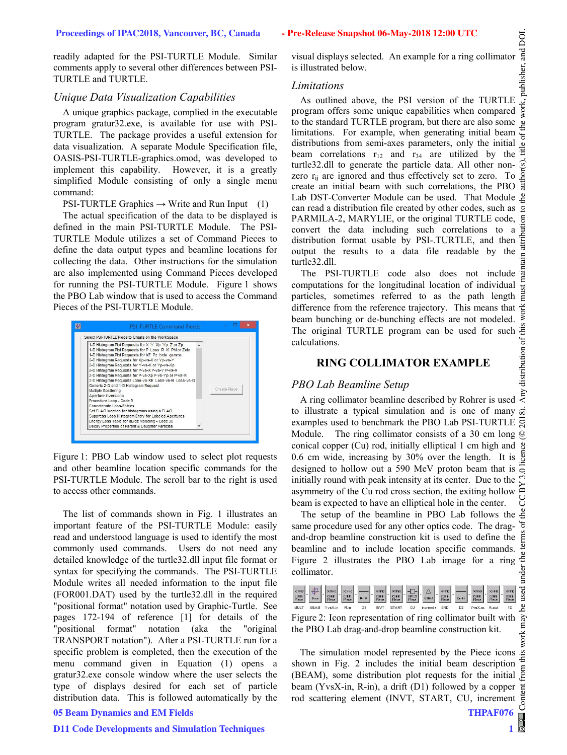readily adapted for the PSI-TURTLE Module. Similar comments apply to several other differences between PSI-TURTLE and TURTLE.

### *Unique Data Visualization Capabilities*

A unique graphics package, complied in the executable program gratur32.exe, is available for use with PSI-TURTLE. The package provides a useful extension for data visualization. A separate Module Specification file, OASIS-PSI-TURTLE-graphics.omod, was developed to implement this capability. However, it is a greatly simplified Module consisting of only a single menu command:

PSI-TURTLE Graphics  $\rightarrow$  Write and Run Input (1)

The actual specification of the data to be displayed is defined in the main PSI-TURTLE Module. The PSI-TURTLE Module utilizes a set of Command Pieces to define the data output types and beamline locations for collecting the data. Other instructions for the simulation are also implemented using Command Pieces developed for running the PSI-TURTLE Module. Figure 1 shows the PBO Lab window that is used to access the Command Pieces of the PSI-TURTLE Module.



Figure 1: PBO Lab window used to select plot requests and other beamline location specific commands for the PSI-TURTLE Module. The scroll bar to the right is used to access other commands.

The list of commands shown in Fig. 1 illustrates an important feature of the PSI-TURTLE Module: easily read and understood language is used to identify the most commonly used commands. Users do not need any detailed knowledge of the turtle32.dll input file format or syntax for specifying the commands. The PSI-TURTLE Module writes all needed information to the input file (FOR001.DAT) used by the turtle32.dll in the required "positional format" notation used by Graphic-Turtle. See pages 172-194 of reference [1] for details of the "positional format" notation (aka the "original TRANSPORT notation"). After a PSI-TURTLE run for a specific problem is completed, then the execution of the menu command given in Equation (1) opens a gratur32.exe console window where the user selects the type of displays desired for each set of particle distribution data. This is followed automatically by the

# **05 Beam Dynamics and EM Fields**

#### **D11 Code Developments and Simulation Techniques**

visual displays selected. An example for a ring collimator  $\frac{5}{5}$  is illustrated below.<br> *Limitations* is illustrated below.

### *Limitations*

As outlined above, the PSI version of the TURTLE program offers some unique capabilities when compared to the standard TURTLE program, but there are also some  $\frac{1}{2}$ limitations. For example, when generating initial beam  $\frac{1}{5}$ distributions from semi-axes parameters, only the initial  $\frac{8}{9}$ beam correlations  $r_{12}$  and  $r_{34}$  are utilized by the turtle32.dll to generate the particle data. All other nonzero r<sub>ij</sub> are ignored and thus effectively set to zero. To create an initial beam with such correlations, the PBO Lab DST-Converter Module can be used. That Module g can read a distribution file created by other codes, such as PARMILA-2, MARYLIE, or the original TURTLE code, convert the data including such correlations to a distribution format usable by PSI-.TURTLE, and then output the results to a data file readable by the turtle32.dll.

The PSI-TURTLE code also does not include  $\frac{1}{6}$ computations for the longitudinal location of individual  $\frac{1}{\omega}$ particles, sometimes referred to as the path length  $\vec{\tilde{e}}$  difference from the reference trajectory. This means that  $\vec{\tilde{e}}$  beam bunching or de-bunching effects are not modeled. difference from the reference trajectory. This means that beam bunching or de-bunching effects are not modeled.  $\geq$ <br>The original TURTLE program can be used for such  $\stackrel{\cong}{\equiv}$ The original TURTLE program can be used for such  $\frac{1}{2}$ <br>calculations.<br>**RING COLLIMATOR EXAMPLE**<br>*PBO Lab Beamline Setup*<br>A ring collimator beamline described by Rohrer is used  $\frac{2}{3}$ calculations.

# **RING COLLIMATOR EXAMPLE**

# *PBO Lab Beamline Setup*

A ring collimator beamline described by Rohrer is used to illustrate a typical simulation and is one of many  $\hat{\infty}$ examples used to benchmark the PBO Lab PSI-TURTLE  $\overline{S}$ Module. The ring collimator consists of a 30 cm long ©conical copper (Cu) rod, initially elliptical 1 cm high and  $\mathcal{L}$ 0.6 cm wide, increasing by 30% over the length. It is  $\frac{5}{9}$ designed to hollow out a 590 MeV proton beam that is initially round with peak intensity at its center. Due to the asymmetry of the Cu rod cross section, the exiting hollow beam is expected to have an elliptical hole in the center.

The setup of the beamline in PBO Lab follows the  $\frac{3}{2}$ same procedure used for any other optics code. The dragand-drop beamline construction kit is used to define the beamline and to include location specific commands. Figure 2 illustrates the PBO Lab image for a ring collimator.

|             |             |           |        |            |       | $\begin{picture}(150,10) \put(0,0){\line(1,0){10}} \put(0,0){\line(1,0){10}} \put(0,0){\line(1,0){10}} \put(0,0){\line(1,0){10}} \put(0,0){\line(1,0){10}} \put(0,0){\line(1,0){10}} \put(0,0){\line(1,0){10}} \put(0,0){\line(1,0){10}} \put(0,0){\line(1,0){10}} \put(0,0){\line(1,0){10}} \put(0,0){\line(1,0){10}} \put(0,0){\line(1,0){10}} \put(0$ |            |                |                  |  |
|-------------|-------------|-----------|--------|------------|-------|----------------------------------------------------------------------------------------------------------------------------------------------------------------------------------------------------------------------------------------------------------------------------------------------------------------------------------------------------------|------------|----------------|------------------|--|
| <b>MULT</b> | <b>BFAM</b> | $YvsX-in$ | $R-in$ | <b>NVT</b> | START | incrmnts                                                                                                                                                                                                                                                                                                                                                 | <b>FND</b> | D <sub>2</sub> | YysX-oL R-out 1D |  |

Figure 2: Icon representation of ring collimator built with the PBO Lab drag-and-drop beamline construction kit.

The simulation model represented by the Piece icons  $\frac{1}{2}$ shown in Fig. 2 includes the initial beam description shown in Fig. 2 includes the initial beam description  $\overline{E}$  (BEAM), some distribution plot requests for the initial  $\overline{E}$ beam (YvsX-in, R-in), a drift (D1) followed by a copper rod scattering element (INVT, START, CU, increment

**THPAF076**

**1**

 $\circ$